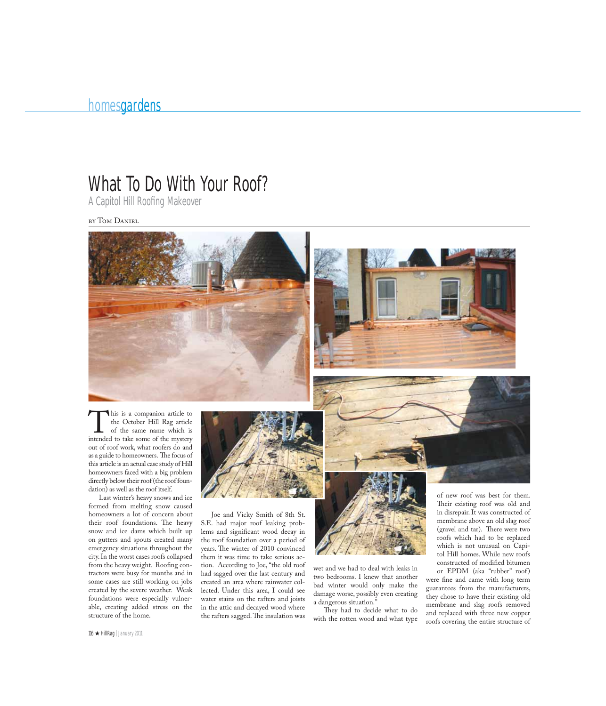## What To Do With Your Roof?

A Capitol Hill Roofing Makeover

by Tom Daniel



This is a companion article to the October Hill Rag article of the same name which is intended to take some of the mystery the October Hill Rag article of the same name which is out of roof work, what roofers do and as a guide to homeowners. The focus of this article is an actual case study of Hill homeowners faced with a big problem directly below their roof (the roof foundation) as well as the roof itself.

Last winter's heavy snows and ice formed from melting snow caused homeowners a lot of concern about their roof foundations. The heavy snow and ice dams which built up on gutters and spouts created many emergency situations throughout the city. In the worst cases roofs collapsed from the heavy weight. Roofing contractors were busy for months and in some cases are still working on jobs created by the severe weather. Weak foundations were especially vulnerable, creating added stress on the structure of the home.



Joe and Vicky Smith of 8th St. S.E. had major roof leaking problems and significant wood decay in the roof foundation over a period of years. The winter of 2010 convinced them it was time to take serious action. According to Joe, "the old roof had sagged over the last century and created an area where rainwater collected. Under this area, I could see water stains on the rafters and joists in the attic and decayed wood where the rafters sagged. The insulation was



wet and we had to deal with leaks in two bedrooms. I knew that another bad winter would only make the damage worse, possibly even creating a dangerous situation."

They had to decide what to do with the rotten wood and what type of new roof was best for them. Their existing roof was old and in disrepair. It was constructed of membrane above an old slag roof (gravel and tar). There were two roofs which had to be replaced which is not unusual on Capitol Hill homes. While new roofs constructed of modified bitumen

or EPDM (aka "rubber" roof) were fine and came with long term guarantees from the manufacturers, they chose to have their existing old membrane and slag roofs removed and replaced with three new copper roofs covering the entire structure of

 $116 \star$  HillRag | January 2011